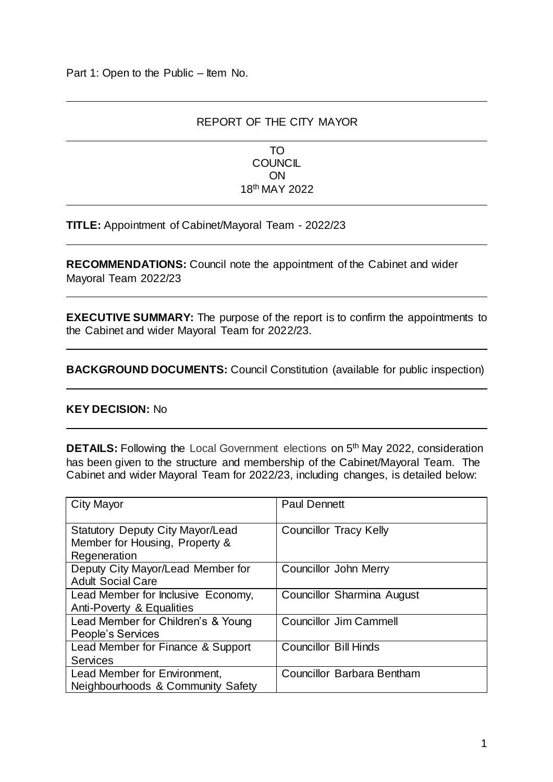### REPORT OF THE CITY MAYOR

TO **COUNCIL** ON 18th MAY 2022

**TITLE:** Appointment of Cabinet/Mayoral Team - 2022/23

**RECOMMENDATIONS:** Council note the appointment of the Cabinet and wider Mayoral Team 2022/23

**EXECUTIVE SUMMARY:** The purpose of the report is to confirm the appointments to the Cabinet and wider Mayoral Team for 2022/23.

**BACKGROUND DOCUMENTS:** Council Constitution (available for public inspection)

#### **KEY DECISION:** No

**DETAILS:** Following the Local Government elections on 5<sup>th</sup> May 2022, consideration has been given to the structure and membership of the Cabinet/Mayoral Team. The Cabinet and wider Mayoral Team for 2022/23, including changes, is detailed below:

| <b>City Mayor</b>                                                                         | <b>Paul Dennett</b>               |
|-------------------------------------------------------------------------------------------|-----------------------------------|
| <b>Statutory Deputy City Mayor/Lead</b><br>Member for Housing, Property &<br>Regeneration | <b>Councillor Tracy Kelly</b>     |
| Deputy City Mayor/Lead Member for<br><b>Adult Social Care</b>                             | Councillor John Merry             |
| Lead Member for Inclusive Economy,<br>Anti-Poverty & Equalities                           | Councillor Sharmina August        |
| Lead Member for Children's & Young<br>People's Services                                   | <b>Councillor Jim Cammell</b>     |
| Lead Member for Finance & Support<br><b>Services</b>                                      | <b>Councillor Bill Hinds</b>      |
| Lead Member for Environment,<br>Neighbourhoods & Community Safety                         | <b>Councillor Barbara Bentham</b> |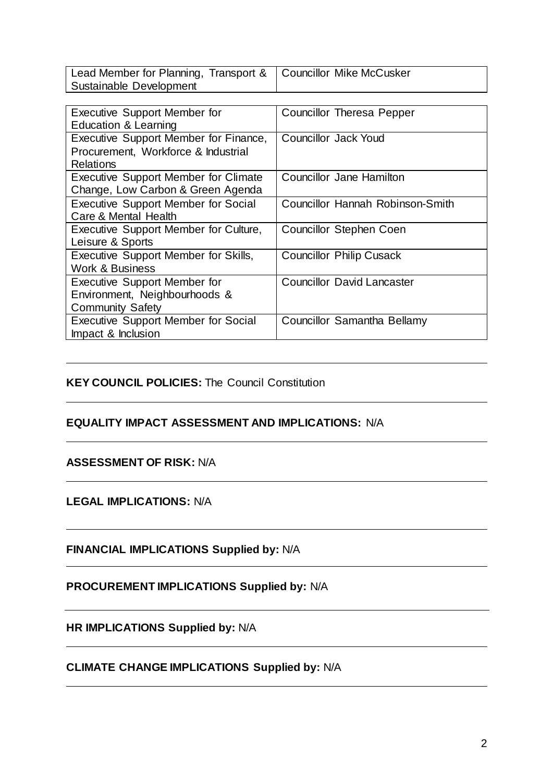| Lead Member for Planning, Transport &   Councillor Mike McCusker |  |
|------------------------------------------------------------------|--|
| Sustainable Development                                          |  |

| <b>Executive Support Member for</b><br><b>Education &amp; Learning</b>                          | <b>Councillor Theresa Pepper</b>  |
|-------------------------------------------------------------------------------------------------|-----------------------------------|
| Executive Support Member for Finance,                                                           | <b>Councillor Jack Youd</b>       |
| Procurement, Workforce & Industrial<br><b>Relations</b>                                         |                                   |
| <b>Executive Support Member for Climate</b><br>Change, Low Carbon & Green Agenda                | Councillor Jane Hamilton          |
| <b>Executive Support Member for Social</b><br>Care & Mental Health                              | Councillor Hannah Robinson-Smith  |
| Executive Support Member for Culture,<br>Leisure & Sports                                       | <b>Councillor Stephen Coen</b>    |
| Executive Support Member for Skills,<br><b>Work &amp; Business</b>                              | <b>Councillor Philip Cusack</b>   |
| <b>Executive Support Member for</b><br>Environment, Neighbourhoods &<br><b>Community Safety</b> | <b>Councillor David Lancaster</b> |
| <b>Executive Support Member for Social</b><br>Impact & Inclusion                                | Councillor Samantha Bellamy       |

# **KEY COUNCIL POLICIES:** The Council Constitution

#### **EQUALITY IMPACT ASSESSMENT AND IMPLICATIONS:** N/A

#### **ASSESSMENT OF RISK:** N/A

#### **LEGAL IMPLICATIONS:** N/A

**FINANCIAL IMPLICATIONS Supplied by:** N/A

# **PROCUREMENT IMPLICATIONS Supplied by:** N/A

**HR IMPLICATIONS Supplied by:** N/A

# **CLIMATE CHANGE IMPLICATIONS Supplied by:** N/A